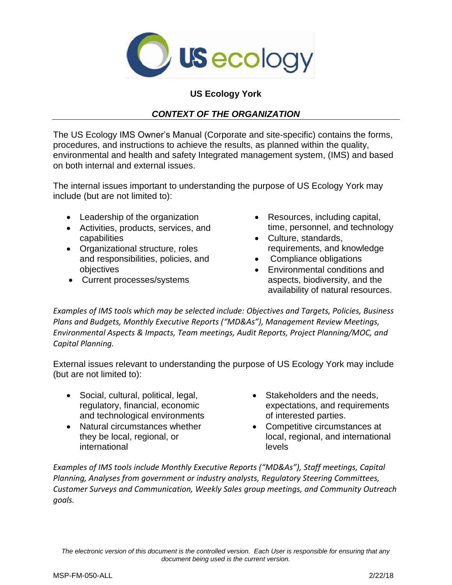

## **US Ecology York**

## *CONTEXT OF THE ORGANIZATION*

The US Ecology IMS Owner's Manual (Corporate and site-specific) contains the forms, procedures, and instructions to achieve the results, as planned within the quality, environmental and health and safety Integrated management system, (IMS) and based on both internal and external issues.

The internal issues important to understanding the purpose of US Ecology York may include (but are not limited to):

- Leadership of the organization
- Activities, products, services, and capabilities
- Organizational structure, roles and responsibilities, policies, and objectives
- Current processes/systems
- Resources, including capital, time, personnel, and technology
- Culture, standards, requirements, and knowledge
- Compliance obligations
- Environmental conditions and aspects, biodiversity, and the availability of natural resources.

*Examples of IMS tools which may be selected include: Objectives and Targets, Policies, Business Plans and Budgets, Monthly Executive Reports ("MD&As"), Management Review Meetings, Environmental Aspects & Impacts, Team meetings, Audit Reports, Project Planning/MOC, and Capital Planning.*

External issues relevant to understanding the purpose of US Ecology York may include (but are not limited to):

- Social, cultural, political, legal, regulatory, financial, economic and technological environments
- Natural circumstances whether they be local, regional, or international
- Stakeholders and the needs, expectations, and requirements of interested parties.
- Competitive circumstances at local, regional, and international levels

*Examples of IMS tools include Monthly Executive Reports ("MD&As"), Staff meetings, Capital Planning, Analyses from government or industry analysts, Regulatory Steering Committees, Customer Surveys and Communication, Weekly Sales group meetings, and Community Outreach goals.*